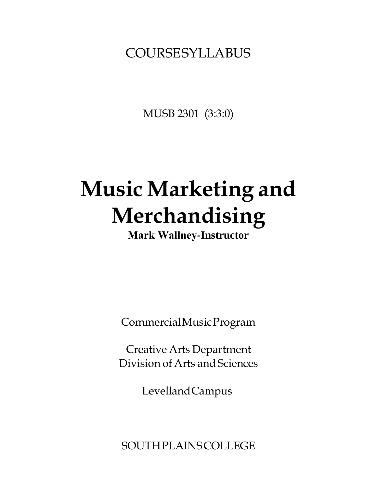## COURSESYLLABUS

MUSB 2301 (3:3:0)

# **Music Marketing and Merchandising**

**Mark Wallney-Instructor**

CommercialMusicProgram

Creative Arts Department Division of Arts and Sciences

LevellandCampus

**SOUTHPLAINS COLLEGE**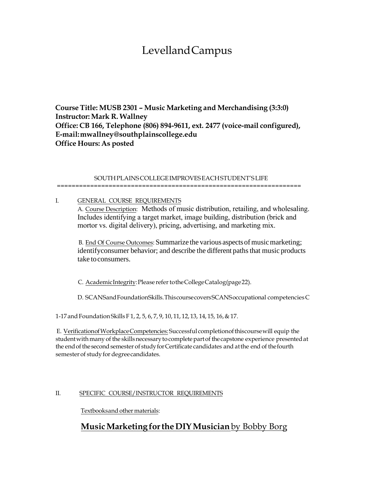## LevellandCampus

**Course Title: MUSB 2301 – Music Marketing and Merchandising (3:3:0) Instructor: Mark R. Wallney Office: CB 166, Telephone (806) 894-9611, ext. 2477 (voice-mail configured), E-m[ail:mwallney@southplainscollege.ed](mailto:mwallney@southplainscollege.edu)u Office Hours: As posted**

#### SOUTHPLAINSCOLLEGEIMPROVESEACHSTUDENT'SLIFE

==================================================================

I. **GENERAL COURSE REQUIREMENTS** A. Course Description: Methods of music distribution, retailing, and wholesaling. Includes identifying a target market, image building, distribution (brick and mortor vs. digital delivery), pricing, advertising, and marketing mix.

B. End Of Course Outcomes: Summarize the various aspects of music marketing; identifyconsumer behavior; and describe the different paths that music products take toconsumers.

C. AcademicIntegrity: Please refer to the College Catalog (page 22).

D. SCANSandFoundationSkills.ThiscoursecoversSCANSoccupational competenciesC

1-17andFoundationSkills F 1, 2, 5, 6, 7, 9, 10, 11, 12, 13, 14, 15, 16,& 17.

E. VerificationofWorkplaceCompetencies: Successful completionofthiscoursewill equip the student with many of the skills necessary to complete part of the capstone experience presented at the end of the second semester of study for Certificate candidates and at the end of the fourth semester of study for degree candidates.

#### II. SPECIFIC COURSE/INSTRUCTOR REQUIREMENTS

Textbooksandother materials:

#### **MusicMarketingfor the DIY Musician** by Bobby Borg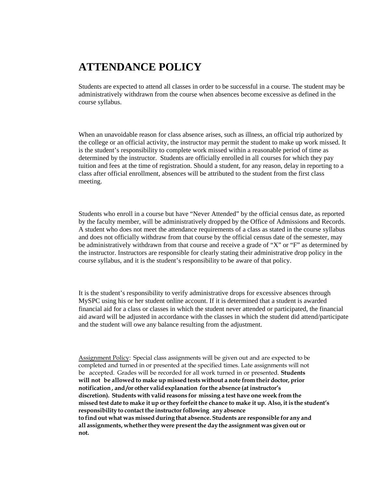### **ATTENDANCE POLICY**

Students are expected to attend all classes in order to be successful in a course. The student may be administratively withdrawn from the course when absences become excessive as defined in the course syllabus.

When an unavoidable reason for class absence arises, such as illness, an official trip authorized by the college or an official activity, the instructor may permit the student to make up work missed. It is the student's responsibility to complete work missed within a reasonable period of time as determined by the instructor. Students are officially enrolled in all courses for which they pay tuition and fees at the time of registration. Should a student, for any reason, delay in reporting to a class after official enrollment, absences will be attributed to the student from the first class meeting.

Students who enroll in a course but have "Never Attended" by the official census date, as reported by the faculty member, will be administratively dropped by the Office of Admissions and Records. A student who does not meet the attendance requirements of a class as stated in the course syllabus and does not officially withdraw from that course by the official census date of the semester, may be administratively withdrawn from that course and receive a grade of "X" or "F" as determined by the instructor. Instructors are responsible for clearly stating their administrative drop policy in the course syllabus, and it is the student's responsibility to be aware of that policy.

It is the student's responsibility to verify administrative drops for excessive absences through MySPC using his or her student online account. If it is determined that a student is awarded financial aid for a class or classes in which the student never attended or participated, the financial aid award will be adjusted in accordance with the classes in which the student did attend/participate and the student will owe any balance resulting from the adjustment.

Assignment Policy: Special class assignments will be given out and are expected to be completed and turned in or presented at the specified times. Late assignments will not be accepted. Grades will be recorded for all work turned in or presented. **Students will not be allowed to make up missed tests without a note from their doctor, prior notification , and /or other valid explanation forthe absence (at instructor's discretion). Students with valid reasons for missing a test have one week from the**  missed test date to make it up or they forfeit the chance to make it up. Also, it is the student's **responsibility to contact the instructorfollowing any absence to find out what was missed during that absence. Students are responsible for any and all assignments, whetherthey were present the day the assignment was given out or not.**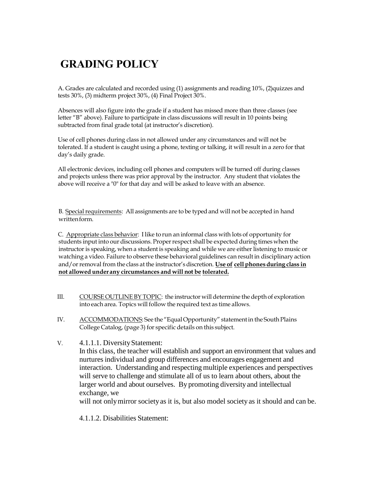## **GRADING POLICY**

A. Grades are calculated and recorded using (1) assignments and reading 10%, (2)quizzes and tests 30%, (3) midterm project 30%, (4) Final Project 30%.

Absences will also figure into the grade if a student has missed more than three classes (see letter "B" above). Failure to participate in class discussions will result in 10 points being subtracted from final grade total (at instructor's discretion).

Use of cell phones during class in not allowed under any circumstances and will not be tolerated. If a student is caught using a phone, texting or talking, it will result in a zero for that day's daily grade.

All electronic devices, including cell phones and computers will be turned off during classes and projects unless there was prior approval by the instructor. Any student that violates the above will receive a "0" for that day and will be asked to leave with an absence.

B. Special requirements: All assignments are to be typed and will not be accepted in hand writtenform.

C. Appropriate class behavior: I like to run an informal class with lots of opportunity for students input into our discussions. Properrespect shall be expected during times when the instructor is speaking, when a student is speaking and while we are either listening to music or watching a video. Failure to observe these behavioral guidelines can result in disciplinary action and/or removal from the class at the instructor's discretion. Use of cell phones during class in **not allowed underany circumstances and will not be tolerated.**

- III. COURSE OUTLINE BYTOPIC: the instructor will determine thedepth of exploration into each area. Topics will follow the required text as time allows.
- IV. ACCOMMODATIONS: See the "Equal Opportunity" statement in the South Plains College Catalog, (page 3) for specific details on this subject.
- V. 4.1.1.1. DiversityStatement: In this class, the teacher will establish and support an environment that values and nurtures individual and group differences and encourages engagement and interaction. Understanding and respecting multiple experiences and perspectives will serve to challenge and stimulate all of us to learn about others, about the larger world and about ourselves. By promoting diversity and intellectual exchange, we will not only mirror societyas it is, but also model society as it should and can be.

4.1.1.2. Disabilities Statement: